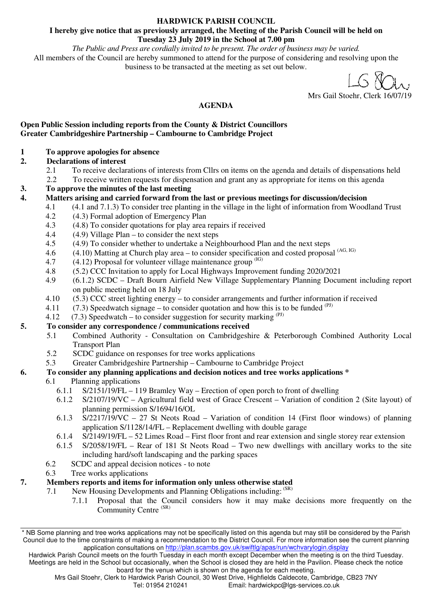#### **HARDWICK PARISH COUNCIL**

#### **I hereby give notice that as previously arranged, the Meeting of the Parish Council will be held on Tuesday 23 July 2019 in the School at 7.00 pm**

*The Public and Press are cordially invited to be present. The order of business may be varied.*  All members of the Council are hereby summoned to attend for the purpose of considering and resolving upon the business to be transacted at the meeting as set out below.

Mrs Gail Stoehr, Clerk 16/07/19

#### **AGENDA**

#### **Open Public Session including reports from the County & District Councillors Greater Cambridgeshire Partnership – Cambourne to Cambridge Project**

- **1 To approve apologies for absence**
- **2. Declarations of interest** 
	- 2.1 To receive declarations of interests from Cllrs on items on the agenda and details of dispensations held
	- 2.2 To receive written requests for dispensation and grant any as appropriate for items on this agenda
- **3. To approve the minutes of the last meeting**
- **4. Matters arising and carried forward from the last or previous meetings for discussion/decision** 
	- 4.1 (4.1 and 7.1.3) To consider tree planting in the village in the light of information from Woodland Trust
	- 4.2 (4.3) Formal adoption of Emergency Plan
	- 4.3 (4.8) To consider quotations for play area repairs if received
	- 4.4 (4.9) Village Plan to consider the next steps
	- 4.5 (4.9) To consider whether to undertake a Neighbourhood Plan and the next steps
	- 4.6  $(4.10)$  Matting at Church play area to consider specification and costed proposal  $(AG, IG)$
	- 4.7  $(4.12)$  Proposal for volunteer village maintenance group  $(1)$
	- 4.8 (5.2) CCC Invitation to apply for Local Highways Improvement funding 2020/2021
	- 4.9 (6.1.2) SCDC Draft Bourn Airfield New Village Supplementary Planning Document including report on public meeting held on 18 July
	- 4.10 (5.3) CCC street lighting energy to consider arrangements and further information if received
	- 4.11 (7.3) Speedwatch signage to consider quotation and how this is to be funded  $(PJ)$
	- 4.12 (7.3) Speedwatch to consider suggestion for security marking  $(PJ)$

#### **5. To consider any correspondence / communications received**

- 5.1 Combined Authority Consultation on Cambridgeshire & Peterborough Combined Authority Local Transport Plan
- 5.2 SCDC guidance on responses for tree works applications
- 5.3 Greater Cambridgeshire Partnership Cambourne to Cambridge Project

#### **6. To consider any planning applications and decision notices and tree works applications \***

#### 6.1 Planning applications

- 6.1.1 S/2151/19/FL 119 Bramley Way Erection of open porch to front of dwelling
- 6.1.2 S/2107/19/VC Agricultural field west of Grace Crescent Variation of condition 2 (Site layout) of planning permission S/1694/16/OL
- 6.1.3 S/2217/19/VC 27 St Neots Road Variation of condition 14 (First floor windows) of planning application S/1128/14/FL – Replacement dwelling with double garage
- 6.1.4 S/2149/19/FL 52 Limes Road First floor front and rear extension and single storey rear extension
- 6.1.5 S/2058/19/FL Rear of 181 St Neots Road Two new dwellings with ancillary works to the site including hard/soft landscaping and the parking spaces
- 6.2 SCDC and appeal decision notices to note
- 6.3 Tree works applications

#### **7. Members reports and items for information only unless otherwise stated**

7.1 New Housing Developments and Planning Obligations including:  $(SR)$ 

7.1.1 Proposal that the Council considers how it may make decisions more frequently on the Community Centre<sup>(SR)</sup>

<sup>\*</sup> NB Some planning and tree works applications may not be specifically listed on this agenda but may still be considered by the Parish Council due to the time constraints of making a recommendation to the District Council. For more information see the current planning application consultations on http://plan.scambs.gov.uk/swiftlg/apas/run/wchvarylogin.display

Hardwick Parish Council meets on the fourth Tuesday in each month except December when the meeting is on the third Tuesday. Meetings are held in the School but occasionally, when the School is closed they are held in the Pavilion. Please check the notice board for the venue which is shown on the agenda for each meeting.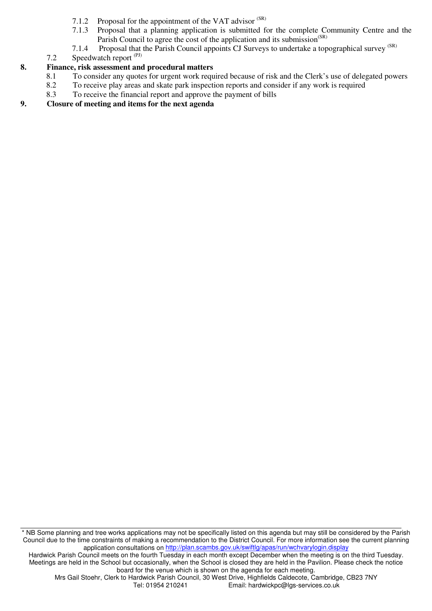- 7.1.2 Proposal for the appointment of the VAT advisor (SR)
- 7.1.3 Proposal that a planning application is submitted for the complete Community Centre and the Parish Council to agree the cost of the application and its submission<sup>(SR)</sup>
- 7.1.4 Proposal that the Parish Council appoints CJ Surveys to undertake a topographical survey <sup>(SR)</sup>
- 7.2 Speedwatch report (PJ)

#### **8. Finance, risk assessment and procedural matters**

- 8.1 To consider any quotes for urgent work required because of risk and the Clerk's use of delegated powers
- 8.2 To receive play areas and skate park inspection reports and consider if any work is required<br>8.3 To receive the financial report and approve the payment of bills
- To receive the financial report and approve the payment of bills

#### **9. Closure of meeting and items for the next agenda**

\* NB Some planning and tree works applications may not be specifically listed on this agenda but may still be considered by the Parish Council due to the time constraints of making a recommendation to the District Council. For more information see the current planning application consultations on http://plan.scambs.gov.uk/swiftlg/apas/run/wchvarylogin.display

Hardwick Parish Council meets on the fourth Tuesday in each month except December when the meeting is on the third Tuesday. Meetings are held in the School but occasionally, when the School is closed they are held in the Pavilion. Please check the notice board for the venue which is shown on the agenda for each meeting.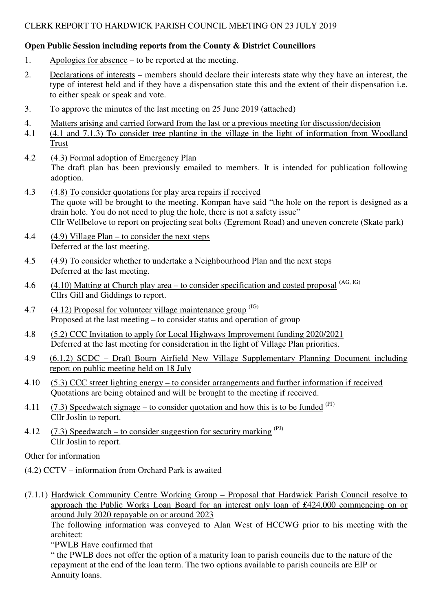#### **Open Public Session including reports from the County & District Councillors**

- 1. Apologies for absence to be reported at the meeting.
- 2. Declarations of interests members should declare their interests state why they have an interest, the type of interest held and if they have a dispensation state this and the extent of their dispensation i.e. to either speak or speak and vote.
- 3. To approve the minutes of the last meeting on 25 June 2019 (attached)
- 4. Matters arising and carried forward from the last or a previous meeting for discussion/decision
- 4.1 (4.1 and 7.1.3) To consider tree planting in the village in the light of information from Woodland Trust
- 4.2 (4.3) Formal adoption of Emergency Plan The draft plan has been previously emailed to members. It is intended for publication following adoption.
- 4.3 (4.8) To consider quotations for play area repairs if received The quote will be brought to the meeting. Kompan have said "the hole on the report is designed as a drain hole. You do not need to plug the hole, there is not a safety issue" Cllr Wellbelove to report on projecting seat bolts (Egremont Road) and uneven concrete (Skate park)
- 4.4  $(4.9)$  Village Plan to consider the next steps Deferred at the last meeting.
- 4.5 (4.9) To consider whether to undertake a Neighbourhood Plan and the next steps Deferred at the last meeting.
- 4.6  $(4.10)$  Matting at Church play area to consider specification and costed proposal  $(AG, IG)$ Cllrs Gill and Giddings to report.
- 4.7  $(4.12)$  Proposal for volunteer village maintenance group  $(B)$ Proposed at the last meeting – to consider status and operation of group
- 4.8 (5.2) CCC Invitation to apply for Local Highways Improvement funding 2020/2021 Deferred at the last meeting for consideration in the light of Village Plan priorities.
- 4.9 (6.1.2) SCDC Draft Bourn Airfield New Village Supplementary Planning Document including report on public meeting held on 18 July
- 4.10 (5.3) CCC street lighting energy to consider arrangements and further information if received Quotations are being obtained and will be brought to the meeting if received.
- 4.11 (7.3) Speedwatch signage to consider quotation and how this is to be funded  $^{(PI)}$ Cllr Joslin to report.
- 4.12 (7.3) Speedwatch to consider suggestion for security marking  $(PJ)$ Cllr Joslin to report.

Other for information

- (4.2) CCTV information from Orchard Park is awaited
- (7.1.1) Hardwick Community Centre Working Group Proposal that Hardwick Parish Council resolve to approach the Public Works Loan Board for an interest only loan of £424,000 commencing on or around July 2020 repayable on or around 2023

 The following information was conveyed to Alan West of HCCWG prior to his meeting with the architect:

"PWLB Have confirmed that

" the PWLB does not offer the option of a maturity loan to parish councils due to the nature of the repayment at the end of the loan term. The two options available to parish councils are EIP or Annuity loans.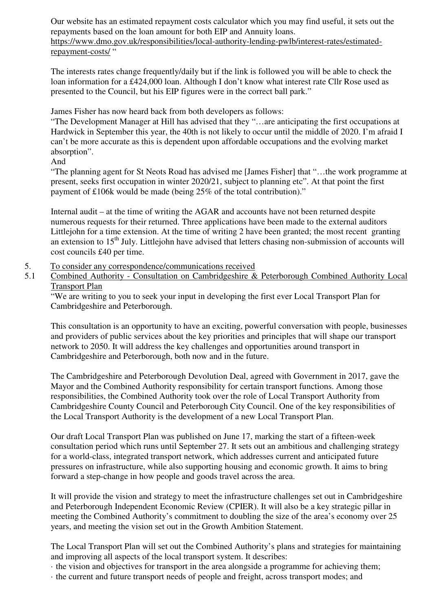Our website has an estimated repayment costs calculator which you may find useful, it sets out the repayments based on the loan amount for both EIP and Annuity loans. https://www.dmo.gov.uk/responsibilities/local-authority-lending-pwlb/interest-rates/estimatedrepayment-costs/ "

The interests rates change frequently/daily but if the link is followed you will be able to check the loan information for a £424,000 loan. Although I don't know what interest rate Cllr Rose used as presented to the Council, but his EIP figures were in the correct ball park."

James Fisher has now heard back from both developers as follows:

"The Development Manager at Hill has advised that they "…are anticipating the first occupations at Hardwick in September this year, the 40th is not likely to occur until the middle of 2020. I'm afraid I can't be more accurate as this is dependent upon affordable occupations and the evolving market absorption".

And

"The planning agent for St Neots Road has advised me [James Fisher] that "…the work programme at present, seeks first occupation in winter 2020/21, subject to planning etc". At that point the first payment of £106k would be made (being 25% of the total contribution)."

Internal audit – at the time of writing the AGAR and accounts have not been returned despite numerous requests for their returned. Three applications have been made to the external auditors Littlejohn for a time extension. At the time of writing 2 have been granted; the most recent granting an extension to  $15<sup>th</sup>$  July. Littlejohn have advised that letters chasing non-submission of accounts will cost councils £40 per time.

- 5. To consider any correspondence/communications received
- 5.1 Combined Authority Consultation on Cambridgeshire & Peterborough Combined Authority Local Transport Plan

"We are writing to you to seek your input in developing the first ever Local Transport Plan for Cambridgeshire and Peterborough.

This consultation is an opportunity to have an exciting, powerful conversation with people, businesses and providers of public services about the key priorities and principles that will shape our transport network to 2050. It will address the key challenges and opportunities around transport in Cambridgeshire and Peterborough, both now and in the future.

The Cambridgeshire and Peterborough Devolution Deal, agreed with Government in 2017, gave the Mayor and the Combined Authority responsibility for certain transport functions. Among those responsibilities, the Combined Authority took over the role of Local Transport Authority from Cambridgeshire County Council and Peterborough City Council. One of the key responsibilities of the Local Transport Authority is the development of a new Local Transport Plan.

Our draft Local Transport Plan was published on June 17, marking the start of a fifteen-week consultation period which runs until September 27. It sets out an ambitious and challenging strategy for a world-class, integrated transport network, which addresses current and anticipated future pressures on infrastructure, while also supporting housing and economic growth. It aims to bring forward a step-change in how people and goods travel across the area.

It will provide the vision and strategy to meet the infrastructure challenges set out in Cambridgeshire and Peterborough Independent Economic Review (CPIER). It will also be a key strategic pillar in meeting the Combined Authority's commitment to doubling the size of the area's economy over 25 years, and meeting the vision set out in the Growth Ambition Statement.

The Local Transport Plan will set out the Combined Authority's plans and strategies for maintaining and improving all aspects of the local transport system. It describes:

· the vision and objectives for transport in the area alongside a programme for achieving them;

· the current and future transport needs of people and freight, across transport modes; and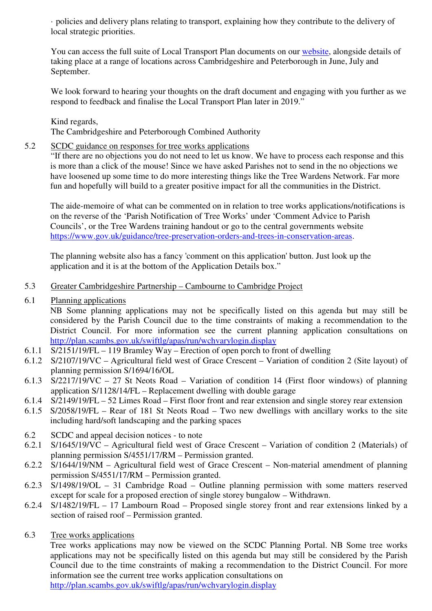· policies and delivery plans relating to transport, explaining how they contribute to the delivery of local strategic priorities.

You can access the full suite of Local Transport Plan documents on our website, alongside details of taking place at a range of locations across Cambridgeshire and Peterborough in June, July and September.

We look forward to hearing your thoughts on the draft document and engaging with you further as we respond to feedback and finalise the Local Transport Plan later in 2019."

Kind regards, The Cambridgeshire and Peterborough Combined Authority

#### 5.2 SCDC guidance on responses for tree works applications

"If there are no objections you do not need to let us know. We have to process each response and this is more than a click of the mouse! Since we have asked Parishes not to send in the no objections we have loosened up some time to do more interesting things like the Tree Wardens Network. Far more fun and hopefully will build to a greater positive impact for all the communities in the District.

The aide-memoire of what can be commented on in relation to tree works applications/notifications is on the reverse of the 'Parish Notification of Tree Works' under 'Comment Advice to Parish Councils', or the Tree Wardens training handout or go to the central governments website https://www.gov.uk/guidance/tree-preservation-orders-and-trees-in-conservation-areas.

The planning website also has a fancy 'comment on this application' button. Just look up the application and it is at the bottom of the Application Details box."

#### 5.3 Greater Cambridgeshire Partnership – Cambourne to Cambridge Project

6.1 Planning applications

NB Some planning applications may not be specifically listed on this agenda but may still be considered by the Parish Council due to the time constraints of making a recommendation to the District Council. For more information see the current planning application consultations on http://plan.scambs.gov.uk/swiftlg/apas/run/wchvarylogin.display

- 6.1.1 S/2151/19/FL 119 Bramley Way Erection of open porch to front of dwelling
- 6.1.2 S/2107/19/VC Agricultural field west of Grace Crescent Variation of condition 2 (Site layout) of planning permission S/1694/16/OL
- 6.1.3 S/2217/19/VC 27 St Neots Road Variation of condition 14 (First floor windows) of planning application S/1128/14/FL – Replacement dwelling with double garage
- 6.1.4 S/2149/19/FL 52 Limes Road First floor front and rear extension and single storey rear extension
- 6.1.5 S/2058/19/FL Rear of 181 St Neots Road Two new dwellings with ancillary works to the site including hard/soft landscaping and the parking spaces
- 6.2 SCDC and appeal decision notices to note
- 6.2.1 S/1645/19/VC Agricultural field west of Grace Crescent Variation of condition 2 (Materials) of planning permission S/4551/17/RM – Permission granted.
- 6.2.2 S/1644/19/NM Agricultural field west of Grace Crescent Non-material amendment of planning permission S/4551/17/RM – Permission granted.
- 6.2.3 S/1498/19/OL 31 Cambridge Road Outline planning permission with some matters reserved except for scale for a proposed erection of single storey bungalow – Withdrawn.
- 6.2.4 S/1482/19/FL 17 Lambourn Road Proposed single storey front and rear extensions linked by a section of raised roof – Permission granted.
- 6.3 Tree works applications

Tree works applications may now be viewed on the SCDC Planning Portal. NB Some tree works applications may not be specifically listed on this agenda but may still be considered by the Parish Council due to the time constraints of making a recommendation to the District Council. For more information see the current tree works application consultations on http://plan.scambs.gov.uk/swiftlg/apas/run/wchvarylogin.display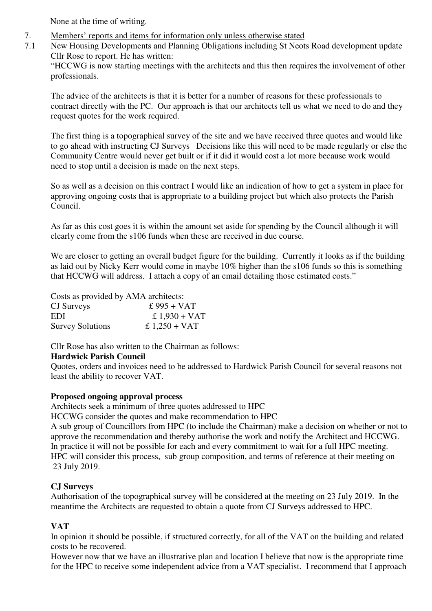None at the time of writing.

7. Members' reports and items for information only unless otherwise stated

7.1 New Housing Developments and Planning Obligations including St Neots Road development update Cllr Rose to report. He has written:

"HCCWG is now starting meetings with the architects and this then requires the involvement of other professionals.

The advice of the architects is that it is better for a number of reasons for these professionals to contract directly with the PC. Our approach is that our architects tell us what we need to do and they request quotes for the work required.

The first thing is a topographical survey of the site and we have received three quotes and would like to go ahead with instructing CJ Surveys Decisions like this will need to be made regularly or else the Community Centre would never get built or if it did it would cost a lot more because work would need to stop until a decision is made on the next steps.

So as well as a decision on this contract I would like an indication of how to get a system in place for approving ongoing costs that is appropriate to a building project but which also protects the Parish Council.

As far as this cost goes it is within the amount set aside for spending by the Council although it will clearly come from the s106 funds when these are received in due course.

We are closer to getting an overall budget figure for the building. Currently it looks as if the building as laid out by Nicky Kerr would come in maybe 10% higher than the s106 funds so this is something that HCCWG will address. I attach a copy of an email detailing those estimated costs."

Costs as provided by AMA architects:

| CJ Surveys              | £ $995 + VAT$          |
|-------------------------|------------------------|
| EDI                     | £ $1,930 + \text{VAT}$ |
| <b>Survey Solutions</b> | £ $1,250 + \text{VAT}$ |

Cllr Rose has also written to the Chairman as follows:

#### **Hardwick Parish Council**

Quotes, orders and invoices need to be addressed to Hardwick Parish Council for several reasons not least the ability to recover VAT.

#### **Proposed ongoing approval process**

Architects seek a minimum of three quotes addressed to HPC

HCCWG consider the quotes and make recommendation to HPC

A sub group of Councillors from HPC (to include the Chairman) make a decision on whether or not to approve the recommendation and thereby authorise the work and notify the Architect and HCCWG. In practice it will not be possible for each and every commitment to wait for a full HPC meeting. HPC will consider this process, sub group composition, and terms of reference at their meeting on 23 July 2019.

#### **CJ Surveys**

Authorisation of the topographical survey will be considered at the meeting on 23 July 2019. In the meantime the Architects are requested to obtain a quote from CJ Surveys addressed to HPC.

#### **VAT**

In opinion it should be possible, if structured correctly, for all of the VAT on the building and related costs to be recovered.

However now that we have an illustrative plan and location I believe that now is the appropriate time for the HPC to receive some independent advice from a VAT specialist. I recommend that I approach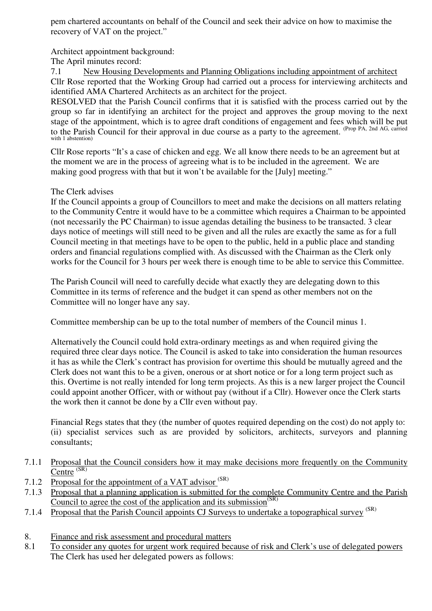pem chartered accountants on behalf of the Council and seek their advice on how to maximise the recovery of VAT on the project."

Architect appointment background:

The April minutes record:

7.1 New Housing Developments and Planning Obligations including appointment of architect Cllr Rose reported that the Working Group had carried out a process for interviewing architects and identified AMA Chartered Architects as an architect for the project.

RESOLVED that the Parish Council confirms that it is satisfied with the process carried out by the group so far in identifying an architect for the project and approves the group moving to the next stage of the appointment, which is to agree draft conditions of engagement and fees which will be put to the Parish Council for their approval in due course as a party to the agreement. (Prop PA, 2nd AG, carried with 1 abstention)

Cllr Rose reports "It's a case of chicken and egg. We all know there needs to be an agreement but at the moment we are in the process of agreeing what is to be included in the agreement. We are making good progress with that but it won't be available for the [July] meeting."

#### The Clerk advises

If the Council appoints a group of Councillors to meet and make the decisions on all matters relating to the Community Centre it would have to be a committee which requires a Chairman to be appointed (not necessarily the PC Chairman) to issue agendas detailing the business to be transacted. 3 clear days notice of meetings will still need to be given and all the rules are exactly the same as for a full Council meeting in that meetings have to be open to the public, held in a public place and standing orders and financial regulations complied with. As discussed with the Chairman as the Clerk only works for the Council for 3 hours per week there is enough time to be able to service this Committee.

The Parish Council will need to carefully decide what exactly they are delegating down to this Committee in its terms of reference and the budget it can spend as other members not on the Committee will no longer have any say.

Committee membership can be up to the total number of members of the Council minus 1.

Alternatively the Council could hold extra-ordinary meetings as and when required giving the required three clear days notice. The Council is asked to take into consideration the human resources it has as while the Clerk's contract has provision for overtime this should be mutually agreed and the Clerk does not want this to be a given, onerous or at short notice or for a long term project such as this. Overtime is not really intended for long term projects. As this is a new larger project the Council could appoint another Officer, with or without pay (without if a Cllr). However once the Clerk starts the work then it cannot be done by a Cllr even without pay.

Financial Regs states that they (the number of quotes required depending on the cost) do not apply to: (ii) specialist services such as are provided by solicitors, architects, surveyors and planning consultants;

- 7.1.1 Proposal that the Council considers how it may make decisions more frequently on the Community Centre (SR)
- 7.1.2 Proposal for the appointment of a VAT advisor <sup>(SR)</sup>
- 7.1.3 Proposal that a planning application is submitted for the complete Community Centre and the Parish Council to agree the cost of the application and its submission $(S<sub>R</sub>)$
- 7.1.4 Proposal that the Parish Council appoints CJ Surveys to undertake a topographical survey <sup>(SR)</sup>
- 8. Finance and risk assessment and procedural matters
- 8.1 To consider any quotes for urgent work required because of risk and Clerk's use of delegated powers The Clerk has used her delegated powers as follows: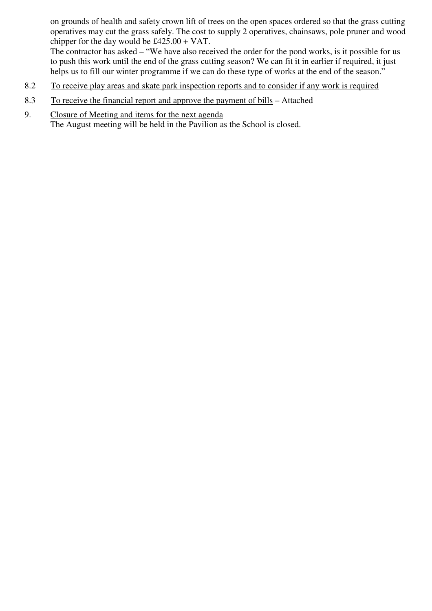on grounds of health and safety crown lift of trees on the open spaces ordered so that the grass cutting operatives may cut the grass safely. The cost to supply 2 operatives, chainsaws, pole pruner and wood chipper for the day would be £425.00 + VAT.

The contractor has asked – "We have also received the order for the pond works, is it possible for us to push this work until the end of the grass cutting season? We can fit it in earlier if required, it just helps us to fill our winter programme if we can do these type of works at the end of the season."

- 8.2 To receive play areas and skate park inspection reports and to consider if any work is required
- 8.3 To receive the financial report and approve the payment of bills Attached
- 9. Closure of Meeting and items for the next agenda The August meeting will be held in the Pavilion as the School is closed.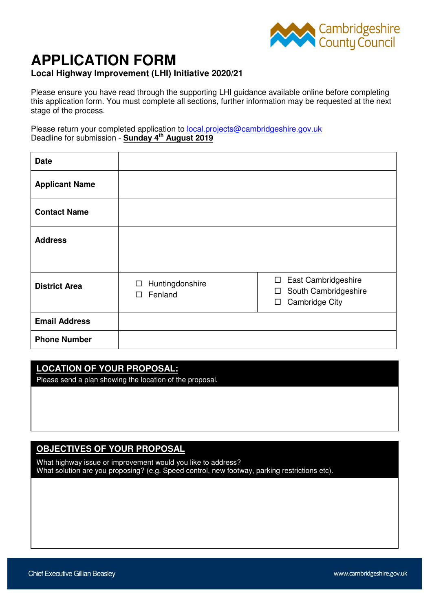

# **APPLICATION FORM**

#### **Local Highway Improvement (LHI) Initiative 2020/21**

Please ensure you have read through the supporting LHI guidance available online before completing this application form. You must complete all sections, further information may be requested at the next stage of the process.

Please return your completed application to **local.projects@cambridgeshire.gov.uk** Deadline for submission - **Sunday 4th August 2019**

| <b>Date</b>           |                                      |                                                                                                    |
|-----------------------|--------------------------------------|----------------------------------------------------------------------------------------------------|
| <b>Applicant Name</b> |                                      |                                                                                                    |
| <b>Contact Name</b>   |                                      |                                                                                                    |
| <b>Address</b>        |                                      |                                                                                                    |
|                       |                                      |                                                                                                    |
| <b>District Area</b>  | Huntingdonshire<br>□<br>Fenland<br>□ | East Cambridgeshire<br>$\Box$<br>South Cambridgeshire<br>$\Box$<br><b>Cambridge City</b><br>$\Box$ |
| <b>Email Address</b>  |                                      |                                                                                                    |
| <b>Phone Number</b>   |                                      |                                                                                                    |

# **LOCATION OF YOUR PROPOSAL:**

Please send a plan showing the location of the proposal.

### **OBJECTIVES OF YOUR PROPOSAL**

What highway issue or improvement would you like to address? What solution are you proposing? (e.g. Speed control, new footway, parking restrictions etc).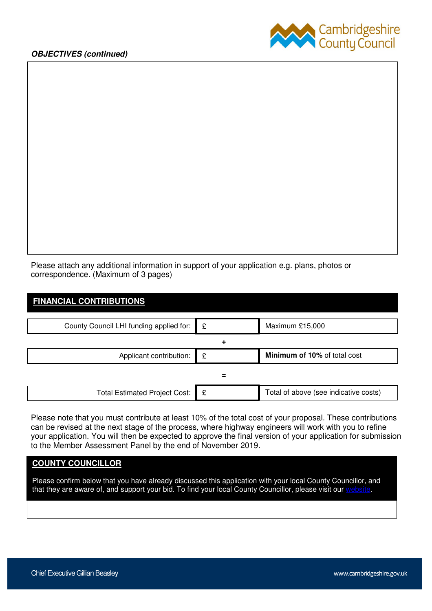

Please attach any additional information in support of your application e.g. plans, photos or correspondence. (Maximum of 3 pages)

| <b>FINANCIAL CONTRIBUTIONS</b>          |   |                                       |
|-----------------------------------------|---|---------------------------------------|
|                                         |   |                                       |
| County Council LHI funding applied for: | £ | Maximum £15,000                       |
|                                         | ٠ |                                       |
| Applicant contribution:                 | £ | Minimum of 10% of total cost          |
|                                         | = |                                       |
| <b>Total Estimated Project Cost:</b>    | £ | Total of above (see indicative costs) |

Please note that you must contribute at least 10% of the total cost of your proposal. These contributions can be revised at the next stage of the process, where highway engineers will work with you to refine your application. You will then be expected to approve the final version of your application for submission to the Member Assessment Panel by the end of November 2019.

#### **COUNTY COUNCILLOR**

Please confirm below that you have already discussed this application with your local County Councillor, and that they are aware of, and support your bid. To find your local County Councillor, please visit our website.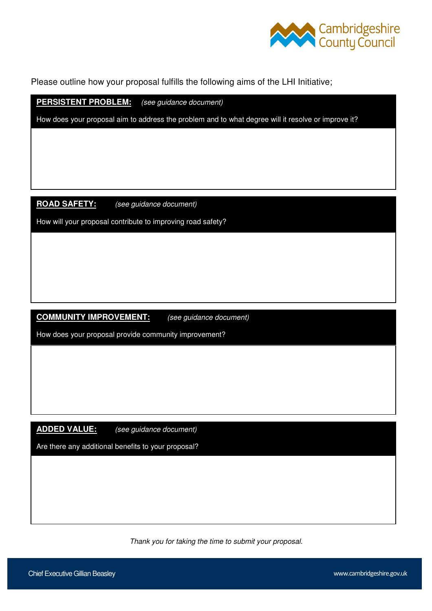

Please outline how your proposal fulfills the following aims of the LHI Initiative;

**PERSISTENT PROBLEM:** (see guidance document)

How does your proposal aim to address the problem and to what degree will it resolve or improve it?

**ROAD SAFETY:** (see guidance document)

How will your proposal contribute to improving road safety?

#### **COMMUNITY IMPROVEMENT:** (see guidance document)

How does your proposal provide community improvement?

**ADDED VALUE:** (see guidance document)

Are there any additional benefits to your proposal?

Thank you for taking the time to submit your proposal.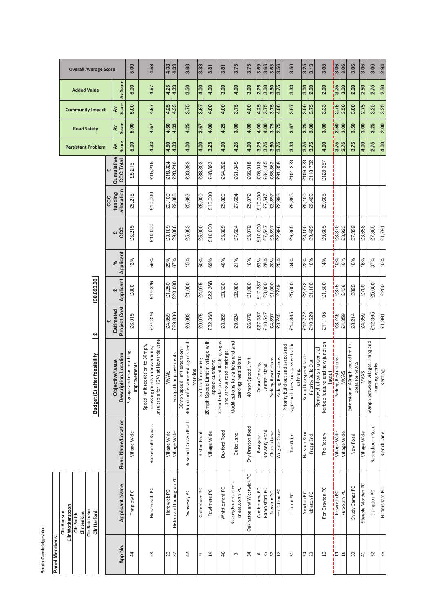**Panel Members:**

| <b>Overall Average Score</b>                                                                    |                                         | 5.00                                     | 4.58                                                                                                        | 4.38         | 4.33                     | 3.88                                                                           | 3.83                 | 3.81                                                | 3.81                                                             | 3.75                                                        | 3.75                      | 3.69           | 3.63                | 3.63                 | 3.56                 | 3.50                                                                                     | 3.25                       | 3.13               | 3.08                                                                     | $\frac{1}{3.06}$                                             | 3.06           | 3.06                                                  | 3.06              | 3.00                                                | 2.94              |
|-------------------------------------------------------------------------------------------------|-----------------------------------------|------------------------------------------|-------------------------------------------------------------------------------------------------------------|--------------|--------------------------|--------------------------------------------------------------------------------|----------------------|-----------------------------------------------------|------------------------------------------------------------------|-------------------------------------------------------------|---------------------------|----------------|---------------------|----------------------|----------------------|------------------------------------------------------------------------------------------|----------------------------|--------------------|--------------------------------------------------------------------------|--------------------------------------------------------------|----------------|-------------------------------------------------------|-------------------|-----------------------------------------------------|-------------------|
| <b>Added Value</b>                                                                              | Av Score                                | 5.00                                     | 4.67                                                                                                        | 4.25         | 4.33                     | 3.50                                                                           | 4.00                 | 4.00                                                | 3.00                                                             | 4.00                                                        | 3.00                      | 2.75           | 3.00                | 3.50                 | 3.75                 | 3.33                                                                                     | 3.00                       | 2.00               | 2.00                                                                     | <mark>i</mark> ဒို                                           | 3.00           | 2.00                                                  | 2.50              | 2.75                                                | $\overline{2.50}$ |
| <b>Community Impact</b>                                                                         | Score<br>₹                              | 5.00                                     | 4.67                                                                                                        | 4.25         | $\overline{4.33}$        | 3.75                                                                           | 3.67                 | 4.00                                                | 4.00                                                             | 3.75                                                        | 4.00                      | 4.25           | 3.75                | 3.75                 | 4.00                 | 3.67                                                                                     | 3.00                       | $\frac{3.75}{ }$   | 3.33                                                                     | $\frac{1}{2.75}$                                             | 3.50           | 3.00                                                  | 2.75              | 3.25                                                | 3.25              |
| <b>Road Safety</b>                                                                              | Score<br>λV                             | 5.00                                     | 4.67                                                                                                        | 4.50         | $\overline{4.33}$        | 4.25                                                                           | 3.67                 | 4.00                                                | 4.25                                                             | 3.00                                                        | 4.00                      | 4.00           | 4.00                | 3.75                 | 2.75                 | 3.67                                                                                     | $\overline{\frac{3.25}{}}$ | $\frac{1}{3.00}$   | 3.00                                                                     | $\frac{1}{2.50}$                                             | 3.00           | 3.50                                                  | 3.00              | 3.25                                                | 2.00              |
| <b>Persistant Problem</b>                                                                       | Score<br>š                              | 5.00                                     | 4.33                                                                                                        | 4.50         | $\overline{4.33}$        | 4.00                                                                           | 4.00                 | 3.25                                                | 4.00                                                             | 4.25                                                        | 4.00                      | 3.75           | 3.75                | 3.50                 | $\overline{3.75}$    | 3.33                                                                                     | 3.75                       | $\frac{3.75}{ }$   | 4.00                                                                     | $rac{1}{3.75}$                                               | 2.75           | 3.75                                                  | 4.00              | 2.75                                                | 4.00              |
|                                                                                                 | Cumulative<br><b>CCC Total</b>          | £5,215                                   | £15,215                                                                                                     | £18,324      | £28,210                  | £33,893                                                                        | £38,893              | £48,893                                             | £54,222                                                          | £61,845                                                     | £66,918                   | £76,918        | £84,465             | £88,362              | £91,358              | £101,223                                                                                 | £109,323                   | £118,752           | £128,357                                                                 |                                                              |                |                                                       |                   |                                                     |                   |
|                                                                                                 | allocation<br>funding<br>CCC            | £5,215                                   | £10,000                                                                                                     | £3,109       | £9,886                   | £5,683                                                                         | £5,000               | £10,000                                             | £5,329                                                           | £7,624                                                      | £5,072                    | £10,000        | £7,547              | £3,897               | £2,996               | £9,865                                                                                   | £8,100                     | £9,429             | £9,605                                                                   |                                                              |                |                                                       |                   |                                                     |                   |
|                                                                                                 | CCC<br><b>Chi</b>                       | £5,215                                   | £10,000                                                                                                     | £3,109       | £9,886                   | £5,683                                                                         | £5,000               | £10,000                                             | £5,329                                                           | £7,624                                                      | £5,072                    | £10,000        | £7,547              | £3,897               | £2,996               | £9,865                                                                                   | £8,100                     | £9,429             | £9,605                                                                   | £3,370                                                       | £3,923         | £7,392                                                | £3,658            | £7,365                                              | £1,791            |
|                                                                                                 | Applicant<br>$\delta$                   | 13%                                      | 59%                                                                                                         | 29%          | 67%                      | 15%                                                                            | 50%                  | 69%                                                 | 40%                                                              | 21%                                                         | 16%                       | 63%            | 28%                 | 20%                  | 20%                  | 34%                                                                                      | 22%                        | 10%                | 14%                                                                      | $\frac{1}{10\%}$                                             | 10%            | 10%                                                   | 16%               | 37%                                                 | 10%               |
| 130,823.00                                                                                      | Applicant<br><b>GN</b>                  | £800                                     | £14,326                                                                                                     | £1,250       | £20,000                  | £1,000                                                                         | £4,975               | £22,368                                             | £3,530                                                           | £2,000                                                      | £1,000                    | £17,387        | £3,000              | £1,000               | £749                 | £5,000                                                                                   | £2,772                     | £1,100             | £1,500                                                                   | $\frac{1}{2375}$                                             | £436           | £822                                                  | £700              | £5,000                                              | £200              |
| cH                                                                                              | Project Cost<br>Estimated               | £6,015                                   | £24,326                                                                                                     | £4,359       | £29,886                  | £6,683                                                                         | £9,975               | £32,368                                             | £8,859                                                           | £9,624                                                      | £6,072                    | £27,387        | £10,547             | £4,897               | £3,745               | £14,865                                                                                  | £12,772                    | £10,529            | £11,105                                                                  | $\frac{1}{23,745}$                                           | £4,359         | £8,214                                                | £4,359            | £12,365                                             | £1,991            |
| er feasibility<br>Budget (£) aft                                                                | Description/Location<br>Objective/Issue | Signage and road marking<br>improvements | GVs at Howards Lane<br>Speed limit reduction to 50mph,<br>crossing points improvements,<br>unsuitable for H | <b>MVAS</b>  | Improvements<br>Footpath | 40mph buffer zone + dragon's teeth<br>30mph speed limit extension +<br>marking | Soft traffic calming | 20mph Speed Limit in village with<br>speed cushions | School solar powered flashing signs<br>and various road markings | Modifications to traffic island and<br>parking restrictions | Speed Limit<br>40mph      | Zebra Crossing | Central Island      | Parking Restrictions | Parking Restrictions | plus passive traffic<br>Priority build out and associated<br>calming.<br>signs and lines | Round top speed table      | Priority Build Out | kerbed feature and new junction<br>Removal of existing central<br>layout | - <del>4 =  =  =  =  =  =</del><br>g Restrictions<br>Parking | <b>AVVNS</b>   | Extension of 40mph speed limit +<br>for MVAS<br>posts | <b>MVAS</b>       | 50mph between villages, lining and<br>kerbing works | Kerbing           |
|                                                                                                 | Road Name/Location                      | Village Wide                             | Horseheath Bypass                                                                                           | Village Wide | Village Wide             | Rose and Crown Road                                                            | <b>Histon Road</b>   | Village Wide                                        | Duxford Road                                                     | Guise Lane                                                  | Dry Drayton Road          | Eastgate       | <b>Brewery Road</b> | Church Lane          | Wright's Close       | The Grip                                                                                 | Harston Road               | Frogg End          | The Rosary                                                               | village Wide                                                 | Village Wide   | New Road                                              | Village Wide      | Basingbourn Road                                    | Blench Lane       |
| Clir Wotherspoon<br>Clir Batchelor<br>Clir Hudson<br>Clir Harford<br>Clir Jenkins<br>Clir Smith | <b>Applicant Name</b>                   | Thriplow PC                              | Horseheath PC                                                                                               | Hardwick PC  | Histon and Impington PC  | Swavesey PC                                                                    | Cottenham PC         | Fowlmere PC                                         | Whittlesford PC                                                  | Bassingbourn - cum<br>Kneesworth PC                         | Oakington and Westwick PC | Cambourne PC   | Pampisford PC       | Sawston PC           | Fen Ditton PC        | Linton PC                                                                                | Newton PC                  | Ickleton PC        | Fen Drayton PC                                                           | Elsworth PC                                                  | Fulbourn PC    | Shudy Camps PC                                        | Steeple Morden PC | Litlington PC                                       | Hildersham PC     |
|                                                                                                 | App No.                                 | 4                                        | $28$                                                                                                        | 23           | $\overline{27}$          | 42                                                                             | G                    | $\overline{4}$                                      | 46                                                               | $\sim$                                                      | 34                        | 6              | 35                  | 57                   | 12                   | 31                                                                                       | 24                         | 29                 | $\mathfrak{u}$                                                           | i≍                                                           | $\frac{16}{2}$ | 39                                                    | 41                | 32                                                  | 26                |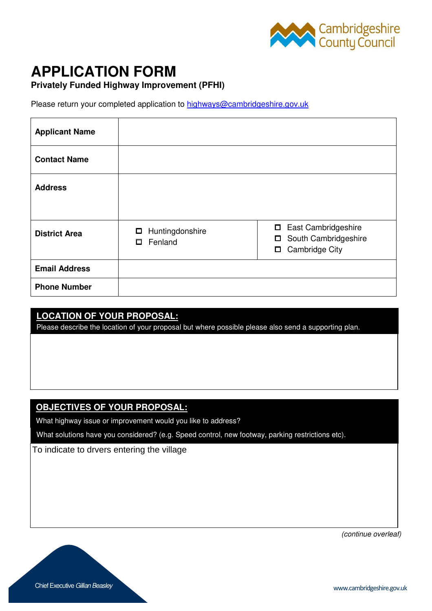

# **APPLICATION FORM**

#### **Privately Funded Highway Improvement (PFHI)**

Please return your completed application to highways@cambridgeshire.gov.uk

| <b>Applicant Name</b> |                                      |                                                                                            |
|-----------------------|--------------------------------------|--------------------------------------------------------------------------------------------|
| <b>Contact Name</b>   |                                      |                                                                                            |
| <b>Address</b>        |                                      |                                                                                            |
| <b>District Area</b>  | Huntingdonshire<br>□<br>Fenland<br>0 | □ East Cambridgeshire<br>South Cambridgeshire<br>$\Box$<br><b>Cambridge City</b><br>$\Box$ |
| <b>Email Address</b>  |                                      |                                                                                            |
| <b>Phone Number</b>   |                                      |                                                                                            |

### **LOCATION OF YOUR PROPOSAL:**

Please describe the location of your proposal but where possible please also send a supporting plan.

### **OBJECTIVES OF YOUR PROPOSAL:**

What highway issue or improvement would you like to address?

What solutions have you considered? (e.g. Speed control, new footway, parking restrictions etc).

To indicate to drvers entering the village

(continue overleaf)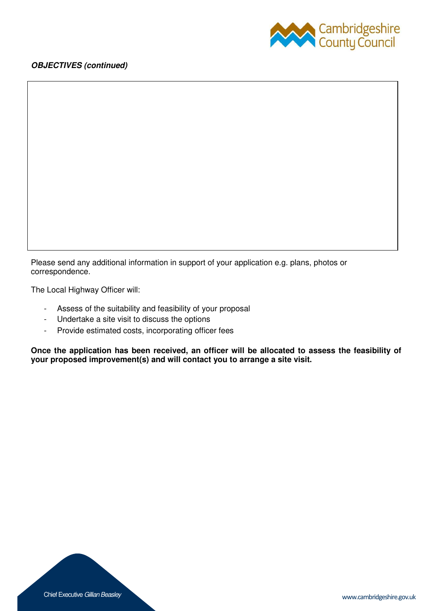



Please send any additional information in support of your application e.g. plans, photos or correspondence.

The Local Highway Officer will:

- Assess of the suitability and feasibility of your proposal
- Undertake a site visit to discuss the options
- Provide estimated costs, incorporating officer fees

**Once the application has been received, an officer will be allocated to assess the feasibility of your proposed improvement(s) and will contact you to arrange a site visit.**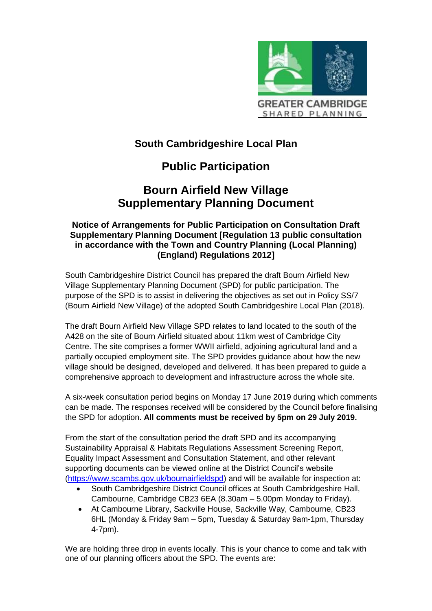

## **South Cambridgeshire Local Plan**

# **Public Participation**

# **Bourn Airfield New Village Supplementary Planning Document**

#### **Notice of Arrangements for Public Participation on Consultation Draft Supplementary Planning Document [Regulation 13 public consultation in accordance with the Town and Country Planning (Local Planning) (England) Regulations 2012]**

South Cambridgeshire District Council has prepared the draft Bourn Airfield New Village Supplementary Planning Document (SPD) for public participation. The purpose of the SPD is to assist in delivering the objectives as set out in Policy SS/7 (Bourn Airfield New Village) of the adopted South Cambridgeshire Local Plan (2018).

The draft Bourn Airfield New Village SPD relates to land located to the south of the A428 on the site of Bourn Airfield situated about 11km west of Cambridge City Centre. The site comprises a former WWII airfield, adjoining agricultural land and a partially occupied employment site. The SPD provides guidance about how the new village should be designed, developed and delivered. It has been prepared to guide a comprehensive approach to development and infrastructure across the whole site.

A six-week consultation period begins on Monday 17 June 2019 during which comments can be made. The responses received will be considered by the Council before finalising the SPD for adoption. **All comments must be received by 5pm on 29 July 2019.** 

From the start of the consultation period the draft SPD and its accompanying Sustainability Appraisal & Habitats Regulations Assessment Screening Report, Equality Impact Assessment and Consultation Statement, and other relevant supporting documents can be viewed online at the District Council's website [\(https://www.scambs.gov.uk/bournairfieldspd\)](https://www.scambs.gov.uk/bournairfieldspd) and will be available for inspection at:

- South Cambridgeshire District Council offices at South Cambridgeshire Hall, Cambourne, Cambridge CB23 6EA (8.30am – 5.00pm Monday to Friday).
- At Cambourne Library, Sackville House, Sackville Way, Cambourne, CB23 6HL (Monday & Friday 9am – 5pm, Tuesday & Saturday 9am-1pm, Thursday 4-7pm).

We are holding three drop in events locally. This is your chance to come and talk with one of our planning officers about the SPD. The events are: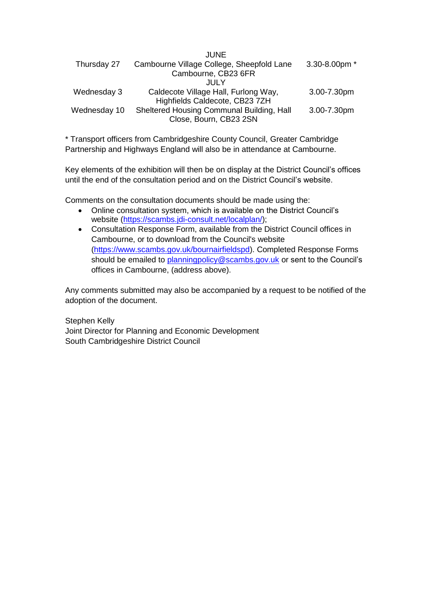|              | JUNE                                      |               |
|--------------|-------------------------------------------|---------------|
| Thursday 27  | Cambourne Village College, Sheepfold Lane | 3.30-8.00pm * |
|              | Cambourne, CB23 6FR                       |               |
|              | .JULY                                     |               |
| Wednesday 3  | Caldecote Village Hall, Furlong Way,      | 3.00-7.30pm   |
|              | Highfields Caldecote, CB23 7ZH            |               |
| Wednesday 10 | Sheltered Housing Communal Building, Hall | 3.00-7.30pm   |
|              | Close, Bourn, CB23 2SN                    |               |
|              |                                           |               |

\* Transport officers from Cambridgeshire County Council, Greater Cambridge Partnership and Highways England will also be in attendance at Cambourne.

Key elements of the exhibition will then be on display at the District Council's offices until the end of the consultation period and on the District Council's website.

Comments on the consultation documents should be made using the:

- Online consultation system, which is available on the District Council's website [\(https://scambs.jdi-consult.net/localplan/\)](https://scambs.jdi-consult.net/localplan/);
- Consultation Response Form, available from the District Council offices in Cambourne, or to download from the Council's website [\(https://www.scambs.gov.uk/bournairfieldspd\)](https://www.scambs.gov.uk/bournairfieldspd). Completed Response Forms should be emailed to [planningpolicy@scambs.gov.uk](mailto:planningpolicy@scambs.gov.uk) or sent to the Council's offices in Cambourne, (address above).

Any comments submitted may also be accompanied by a request to be notified of the adoption of the document.

Stephen Kelly Joint Director for Planning and Economic Development South Cambridgeshire District Council